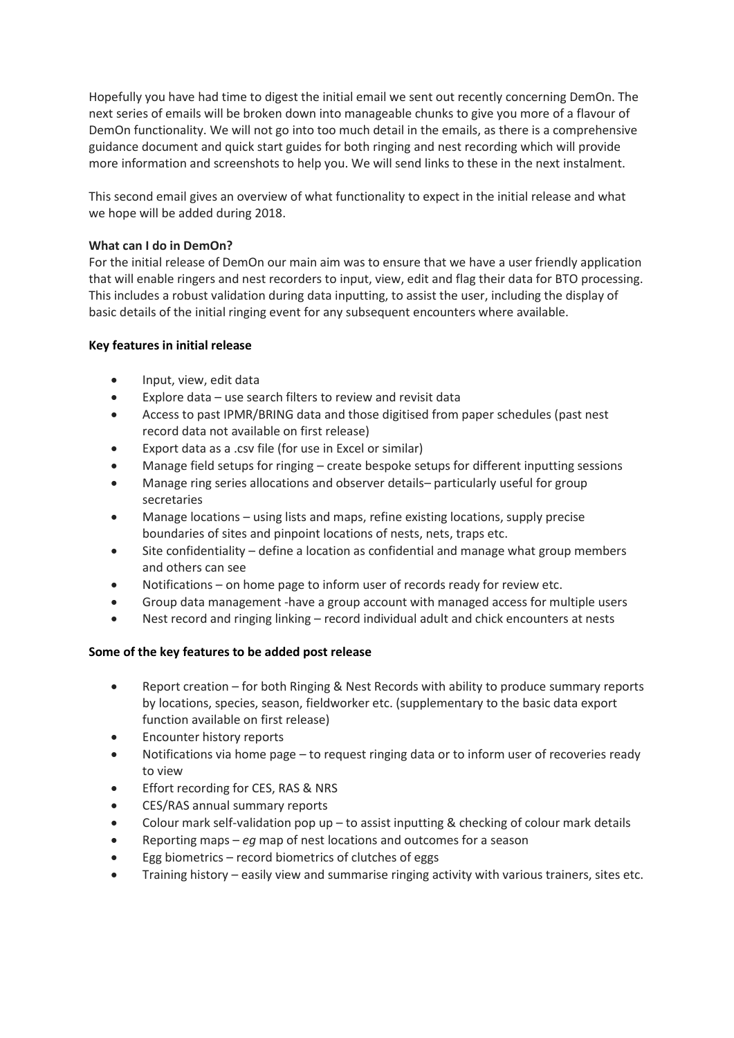Hopefully you have had time to digest the initial email we sent out recently concerning DemOn. The next series of emails will be broken down into manageable chunks to give you more of a flavour of DemOn functionality. We will not go into too much detail in the emails, as there is a comprehensive guidance document and quick start guides for both ringing and nest recording which will provide more information and screenshots to help you. We will send links to these in the next instalment.

This second email gives an overview of what functionality to expect in the initial release and what we hope will be added during 2018.

## **What can I do in DemOn?**

For the initial release of DemOn our main aim was to ensure that we have a user friendly application that will enable ringers and nest recorders to input, view, edit and flag their data for BTO processing. This includes a robust validation during data inputting, to assist the user, including the display of basic details of the initial ringing event for any subsequent encounters where available.

## **Key features in initial release**

- Input, view, edit data
- Explore data use search filters to review and revisit data
- Access to past IPMR/BRING data and those digitised from paper schedules (past nest record data not available on first release)
- Export data as a .csv file (for use in Excel or similar)
- Manage field setups for ringing create bespoke setups for different inputting sessions
- Manage ring series allocations and observer details– particularly useful for group secretaries
- Manage locations using lists and maps, refine existing locations, supply precise boundaries of sites and pinpoint locations of nests, nets, traps etc.
- Site confidentiality define a location as confidential and manage what group members and others can see
- Notifications on home page to inform user of records ready for review etc.
- Group data management -have a group account with managed access for multiple users
- Nest record and ringing linking record individual adult and chick encounters at nests

## **Some of the key features to be added post release**

- Report creation for both Ringing & Nest Records with ability to produce summary reports by locations, species, season, fieldworker etc. (supplementary to the basic data export function available on first release)
- Encounter history reports
- Notifications via home page to request ringing data or to inform user of recoveries ready to view
- Effort recording for CES, RAS & NRS
- CES/RAS annual summary reports
- Colour mark self-validation pop up to assist inputting  $&$  checking of colour mark details
- Reporting maps *eg* map of nest locations and outcomes for a season
- Egg biometrics record biometrics of clutches of eggs
- Training history easily view and summarise ringing activity with various trainers, sites etc.